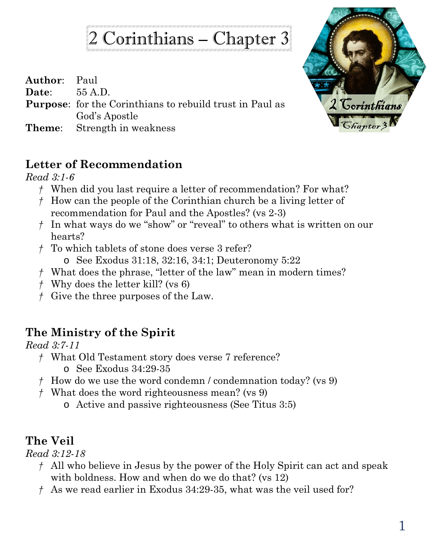2 Corinthians – Chapter 3

| <b>Author:</b> Paul |                                                                 |
|---------------------|-----------------------------------------------------------------|
| Date: $55 A.D.$     |                                                                 |
|                     | <b>Purpose:</b> for the Corinthians to rebuild trust in Paul as |
|                     | God's Apostle                                                   |
|                     | <b>Theme:</b> Strength in weakness                              |



## **Letter of Recommendation**

*Read 3:1-6*

- *†* When did you last require a letter of recommendation? For what?
- *†* How can the people of the Corinthian church be a living letter of recommendation for Paul and the Apostles? (vs 2-3)
- *†* In what ways do we "show" or "reveal" to others what is written on our hearts?
- *†* To which tablets of stone does verse 3 refer?
	- o See Exodus 31:18, 32:16, 34:1; Deuteronomy 5:22
- *†* What does the phrase, "letter of the law" mean in modern times?
- *†* Why does the letter kill? (vs 6)
- *†* Give the three purposes of the Law.

## **The Ministry of the Spirit**

*Read 3:7-11*

- *†* What Old Testament story does verse 7 reference?
	- o See Exodus 34:29-35
- *†* How do we use the word condemn / condemnation today? (vs 9)
- *†* What does the word righteousness mean? (vs 9)
	- o Active and passive righteousness (See Titus 3:5)

## **The Veil**

*Read 3:12-18*

- *†* All who believe in Jesus by the power of the Holy Spirit can act and speak with boldness. How and when do we do that? (vs 12)
- *†* As we read earlier in Exodus 34:29-35, what was the veil used for?